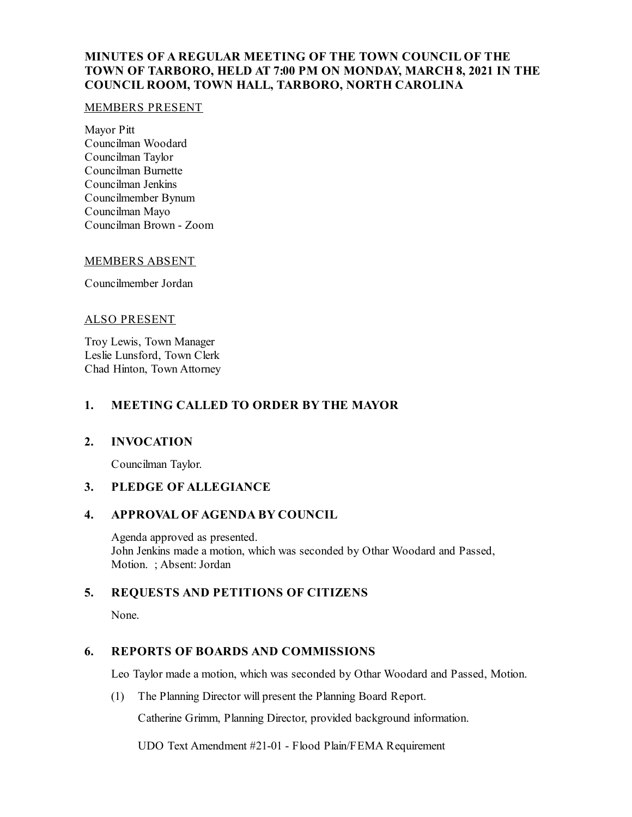# **MINUTES OF A REGULAR MEETING OF THE TOWN COUNCIL OF THE TOWN OF TARBORO, HELD AT 7:00 PM ON MONDAY, MARCH 8, 2021 IN THE COUNCIL ROOM, TOWN HALL, TARBORO, NORTH CAROLINA**

### MEMBERS PRESENT

Mayor Pitt Councilman Woodard Councilman Taylor Councilman Burnette Councilman Jenkins Councilmember Bynum Councilman Mayo Councilman Brown - Zoom

#### MEMBERS ABSENT

Councilmember Jordan

#### ALSO PRESENT

Troy Lewis, Town Manager Leslie Lunsford, Town Clerk Chad Hinton, Town Attorney

## **1. MEETING CALLED TO ORDER BY THE MAYOR**

### **2. INVOCATION**

Councilman Taylor.

### **3. PLEDGE OF ALLEGIANCE**

### **4. APPROVAL OF AGENDA BY COUNCIL**

Agenda approved as presented. John Jenkins made a motion, which was seconded by Othar Woodard and Passed, Motion. ; Absent: Jordan

## **5. REQUESTS AND PETITIONS OF CITIZENS**

None.

### **6. REPORTS OF BOARDS AND COMMISSIONS**

Leo Taylor made a motion, which was seconded by Othar Woodard and Passed, Motion.

(1) The Planning Director will present the Planning Board Report.

Catherine Grimm, Planning Director, provided background information.

UDO Text Amendment #21-01 - Flood Plain/FEMA Requirement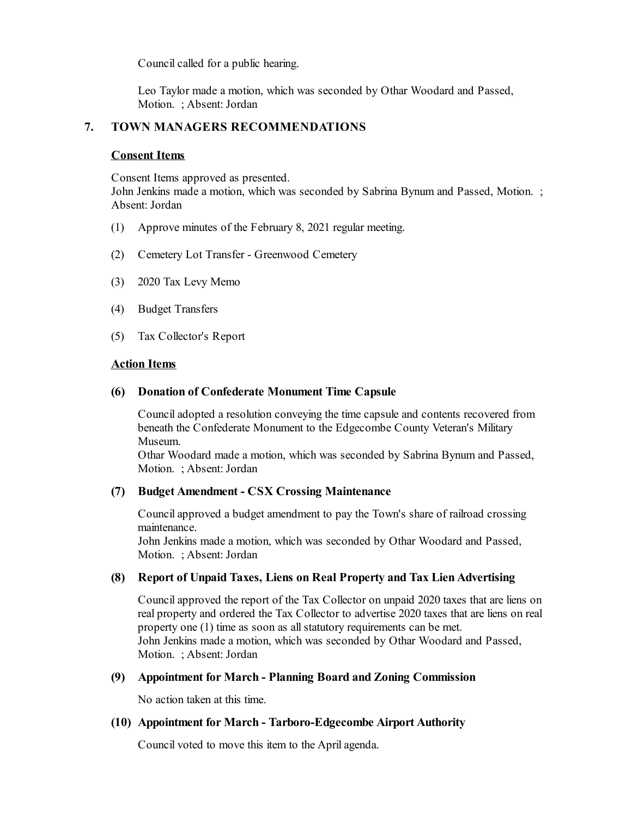Council called for a public hearing.

Leo Taylor made a motion, which was seconded by Othar Woodard and Passed, Motion. ; Absent: Jordan

# **7. TOWN MANAGERS RECOMMENDATIONS**

## **Consent Items**

Consent Items approved as presented.

John Jenkins made a motion, which was seconded by Sabrina Bynum and Passed, Motion. ; Absent: Jordan

- (1) Approve minutes of the February 8, 2021 regular meeting.
- (2) Cemetery Lot Transfer Greenwood Cemetery
- (3) 2020 Tax Levy Memo
- (4) Budget Transfers
- (5) Tax Collector's Report

## **Action Items**

## **(6) Donation of Confederate Monument Time Capsule**

Counciladopted a resolution conveying the time capsule and contents recovered from beneath the Confederate Monument to the Edgecombe County Veteran's Military Museum.

Othar Woodard made a motion, which was seconded by Sabrina Bynum and Passed, Motion. ; Absent: Jordan

## **(7) Budget Amendment - CSX Crossing Maintenance**

Councilapproved a budget amendment to pay the Town's share of railroad crossing maintenance.

John Jenkins made a motion, which was seconded by Othar Woodard and Passed, Motion. ; Absent: Jordan

## **(8) Report of Unpaid Taxes, Liens on Real Property and Tax LienAdvertising**

Councilapproved the report of the Tax Collector on unpaid 2020 taxes that are liens on real property and ordered the Tax Collector to advertise 2020 taxes that are liens on real property one (1) time as soon as all statutory requirements can be met. John Jenkins made a motion, which was seconded by Othar Woodard and Passed, Motion. ; Absent: Jordan

## **(9) Appointment for March - Planning Board and Zoning Commission**

No action taken at this time.

## **(10) Appointment for March - Tarboro-Edgecombe Airport Authority**

Council voted to move this item to the April agenda.